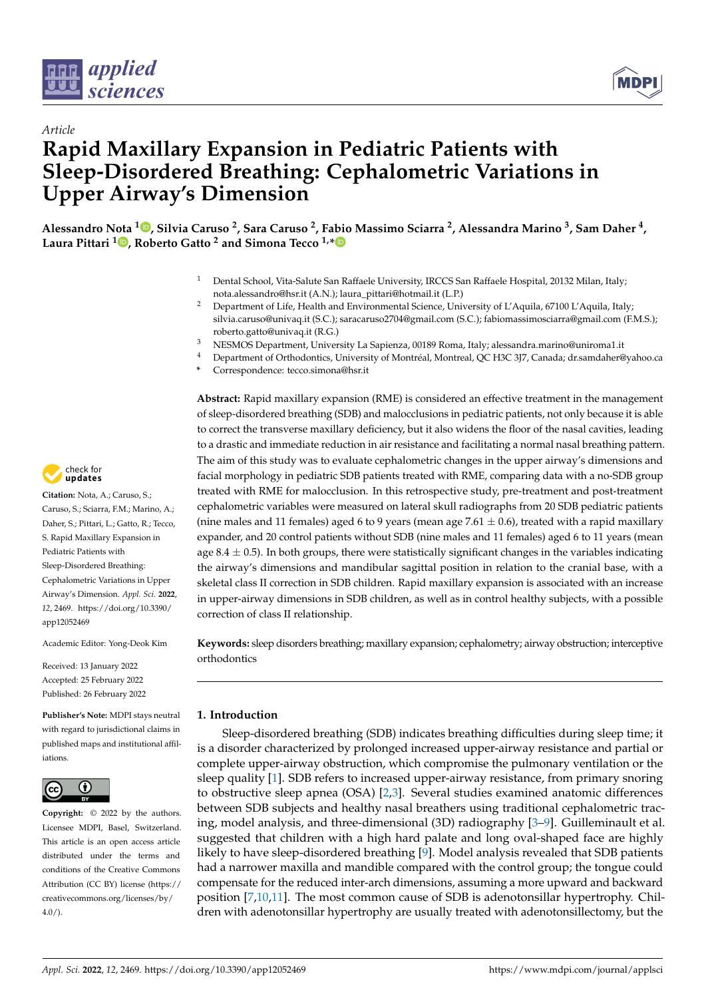



# *Article* **Rapid Maxillary Expansion in Pediatric Patients with Sleep-Disordered Breathing: Cephalometric Variations in Upper Airway's Dimension**

**Alessandro Nota <sup>1</sup> [,](https://orcid.org/0000-0003-3651-1251) Silvia Caruso <sup>2</sup> , Sara Caruso <sup>2</sup> , Fabio Massimo Sciarra <sup>2</sup> , Alessandra Marino <sup>3</sup> , Sam Daher <sup>4</sup> , Laura Pittari <sup>1</sup> [,](https://orcid.org/0000-0003-1992-9146) Roberto Gatto <sup>2</sup> and Simona Tecco 1,[\\*](https://orcid.org/0000-0003-2986-1114)**

- <sup>1</sup> Dental School, Vita-Salute San Raffaele University, IRCCS San Raffaele Hospital, 20132 Milan, Italy; nota.alessandro@hsr.it (A.N.); laura\_pittari@hotmail.it (L.P.)
- <sup>2</sup> Department of Life, Health and Environmental Science, University of L'Aquila, 67100 L'Aquila, Italy; silvia.caruso@univaq.it (S.C.); saracaruso2704@gmail.com (S.C.); fabiomassimosciarra@gmail.com (F.M.S.); roberto.gatto@univaq.it (R.G.)
- <sup>3</sup> NESMOS Department, University La Sapienza, 00189 Roma, Italy; alessandra.marino@uniroma1.it
- <sup>4</sup> Department of Orthodontics, University of Montréal, Montreal, QC H3C 3J7, Canada; dr.samdaher@yahoo.ca
- **\*** Correspondence: tecco.simona@hsr.it

**Abstract:** Rapid maxillary expansion (RME) is considered an effective treatment in the management of sleep-disordered breathing (SDB) and malocclusions in pediatric patients, not only because it is able to correct the transverse maxillary deficiency, but it also widens the floor of the nasal cavities, leading to a drastic and immediate reduction in air resistance and facilitating a normal nasal breathing pattern. The aim of this study was to evaluate cephalometric changes in the upper airway's dimensions and facial morphology in pediatric SDB patients treated with RME, comparing data with a no-SDB group treated with RME for malocclusion. In this retrospective study, pre-treatment and post-treatment cephalometric variables were measured on lateral skull radiographs from 20 SDB pediatric patients (nine males and 11 females) aged 6 to 9 years (mean age 7.61  $\pm$  0.6), treated with a rapid maxillary expander, and 20 control patients without SDB (nine males and 11 females) aged 6 to 11 years (mean age 8.4  $\pm$  0.5). In both groups, there were statistically significant changes in the variables indicating the airway's dimensions and mandibular sagittal position in relation to the cranial base, with a skeletal class II correction in SDB children. Rapid maxillary expansion is associated with an increase in upper-airway dimensions in SDB children, as well as in control healthy subjects, with a possible correction of class II relationship.

**Keywords:** sleep disorders breathing; maxillary expansion; cephalometry; airway obstruction; interceptive orthodontics

## **1. Introduction**

Sleep-disordered breathing (SDB) indicates breathing difficulties during sleep time; it is a disorder characterized by prolonged increased upper-airway resistance and partial or complete upper-airway obstruction, which compromise the pulmonary ventilation or the sleep quality [\[1\]](#page-8-0). SDB refers to increased upper-airway resistance, from primary snoring to obstructive sleep apnea (OSA) [\[2,](#page-8-1)[3\]](#page-8-2). Several studies examined anatomic differences between SDB subjects and healthy nasal breathers using traditional cephalometric tracing, model analysis, and three-dimensional (3D) radiography [\[3–](#page-8-2)[9\]](#page-9-0). Guilleminault et al. suggested that children with a high hard palate and long oval-shaped face are highly likely to have sleep-disordered breathing [\[9\]](#page-9-0). Model analysis revealed that SDB patients had a narrower maxilla and mandible compared with the control group; the tongue could compensate for the reduced inter-arch dimensions, assuming a more upward and backward position [\[7,](#page-9-1)[10](#page-9-2)[,11\]](#page-9-3). The most common cause of SDB is adenotonsillar hypertrophy. Children with adenotonsillar hypertrophy are usually treated with adenotonsillectomy, but the



**Citation:** Nota, A.; Caruso, S.; Caruso, S.; Sciarra, F.M.; Marino, A.; Daher, S.; Pittari, L.; Gatto, R.; Tecco, S. Rapid Maxillary Expansion in Pediatric Patients with Sleep-Disordered Breathing: Cephalometric Variations in Upper Airway's Dimension. *Appl. Sci.* **2022**, *12*, 2469. [https://doi.org/10.3390/](https://doi.org/10.3390/app12052469) [app12052469](https://doi.org/10.3390/app12052469)

Academic Editor: Yong-Deok Kim

Received: 13 January 2022 Accepted: 25 February 2022 Published: 26 February 2022

**Publisher's Note:** MDPI stays neutral with regard to jurisdictional claims in published maps and institutional affiliations.



**Copyright:** © 2022 by the authors. Licensee MDPI, Basel, Switzerland. This article is an open access article distributed under the terms and conditions of the Creative Commons Attribution (CC BY) license [\(https://](https://creativecommons.org/licenses/by/4.0/) [creativecommons.org/licenses/by/](https://creativecommons.org/licenses/by/4.0/)  $4.0/$ ).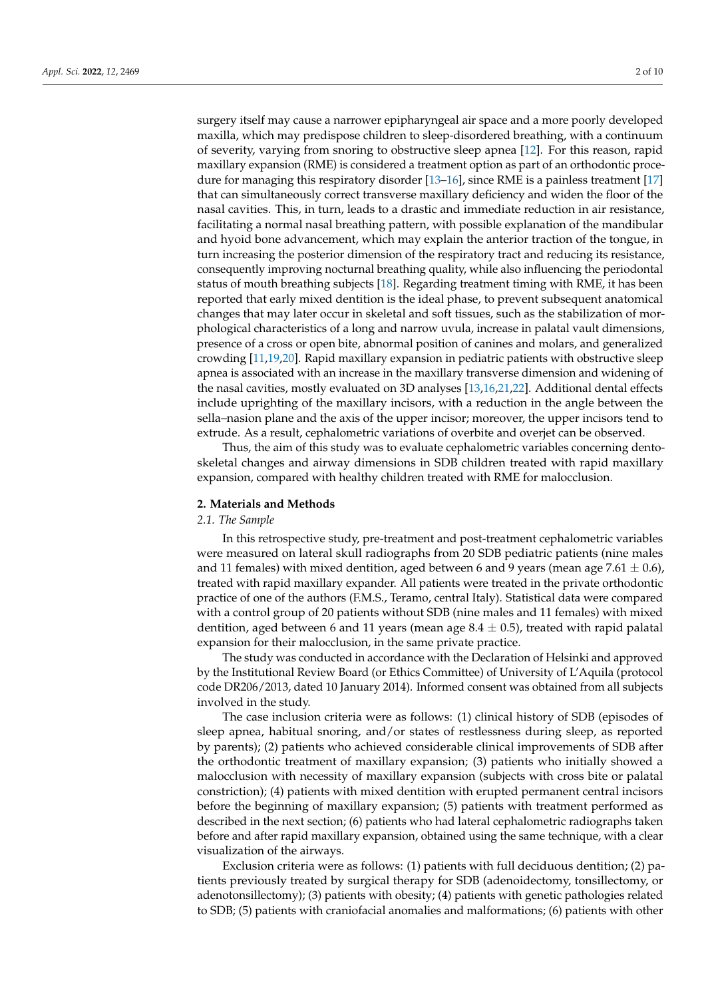surgery itself may cause a narrower epipharyngeal air space and a more poorly developed maxilla, which may predispose children to sleep-disordered breathing, with a continuum of severity, varying from snoring to obstructive sleep apnea [\[12\]](#page-9-4). For this reason, rapid maxillary expansion (RME) is considered a treatment option as part of an orthodontic procedure for managing this respiratory disorder [\[13–](#page-9-5)[16\]](#page-9-6), since RME is a painless treatment [\[17\]](#page-9-7) that can simultaneously correct transverse maxillary deficiency and widen the floor of the nasal cavities. This, in turn, leads to a drastic and immediate reduction in air resistance, facilitating a normal nasal breathing pattern, with possible explanation of the mandibular and hyoid bone advancement, which may explain the anterior traction of the tongue, in turn increasing the posterior dimension of the respiratory tract and reducing its resistance, consequently improving nocturnal breathing quality, while also influencing the periodontal status of mouth breathing subjects [\[18\]](#page-9-8). Regarding treatment timing with RME, it has been reported that early mixed dentition is the ideal phase, to prevent subsequent anatomical changes that may later occur in skeletal and soft tissues, such as the stabilization of morphological characteristics of a long and narrow uvula, increase in palatal vault dimensions, presence of a cross or open bite, abnormal position of canines and molars, and generalized crowding [\[11](#page-9-3)[,19](#page-9-9)[,20\]](#page-9-10). Rapid maxillary expansion in pediatric patients with obstructive sleep apnea is associated with an increase in the maxillary transverse dimension and widening of the nasal cavities, mostly evaluated on 3D analyses [\[13,](#page-9-5)[16,](#page-9-6)[21](#page-9-11)[,22\]](#page-9-12). Additional dental effects include uprighting of the maxillary incisors, with a reduction in the angle between the sella–nasion plane and the axis of the upper incisor; moreover, the upper incisors tend to extrude. As a result, cephalometric variations of overbite and overjet can be observed.

Thus, the aim of this study was to evaluate cephalometric variables concerning dentoskeletal changes and airway dimensions in SDB children treated with rapid maxillary expansion, compared with healthy children treated with RME for malocclusion.

### **2. Materials and Methods**

### *2.1. The Sample*

In this retrospective study, pre-treatment and post-treatment cephalometric variables were measured on lateral skull radiographs from 20 SDB pediatric patients (nine males and 11 females) with mixed dentition, aged between 6 and 9 years (mean age 7.61  $\pm$  0.6), treated with rapid maxillary expander. All patients were treated in the private orthodontic practice of one of the authors (F.M.S., Teramo, central Italy). Statistical data were compared with a control group of 20 patients without SDB (nine males and 11 females) with mixed dentition, aged between 6 and 11 years (mean age  $8.4 \pm 0.5$ ), treated with rapid palatal expansion for their malocclusion, in the same private practice.

The study was conducted in accordance with the Declaration of Helsinki and approved by the Institutional Review Board (or Ethics Committee) of University of L'Aquila (protocol code DR206/2013, dated 10 January 2014). Informed consent was obtained from all subjects involved in the study.

The case inclusion criteria were as follows: (1) clinical history of SDB (episodes of sleep apnea, habitual snoring, and/or states of restlessness during sleep, as reported by parents); (2) patients who achieved considerable clinical improvements of SDB after the orthodontic treatment of maxillary expansion; (3) patients who initially showed a malocclusion with necessity of maxillary expansion (subjects with cross bite or palatal constriction); (4) patients with mixed dentition with erupted permanent central incisors before the beginning of maxillary expansion; (5) patients with treatment performed as described in the next section; (6) patients who had lateral cephalometric radiographs taken before and after rapid maxillary expansion, obtained using the same technique, with a clear visualization of the airways.

Exclusion criteria were as follows: (1) patients with full deciduous dentition; (2) patients previously treated by surgical therapy for SDB (adenoidectomy, tonsillectomy, or adenotonsillectomy); (3) patients with obesity; (4) patients with genetic pathologies related to SDB; (5) patients with craniofacial anomalies and malformations; (6) patients with other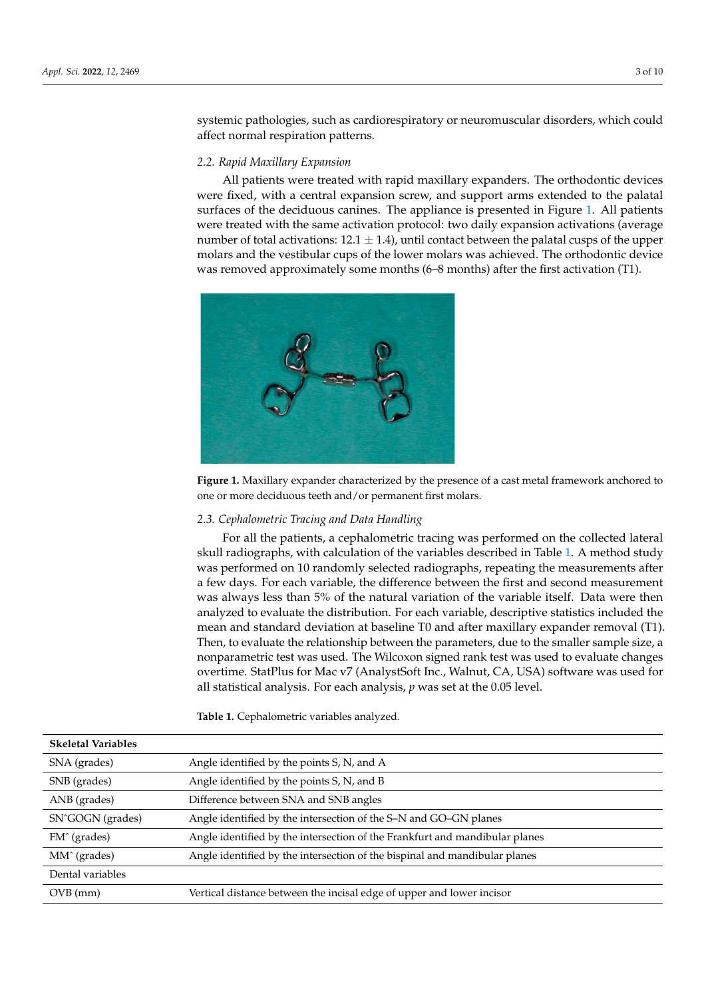systemic pathologies, such as cardiorespiratory or neuromuscular disorders, which could affect normal respiration patterns.

or adenotonsillectomy); (3) pathologies; (3) pathologies; (4) pathologies; (4)  $\alpha$ 

# *2.2. Rapid Maxillary Expansion 2.2. Rapid Maxillary Expansion*

All patients were treated with rapid maxillary expanders. The orthodontic devices All patients were treated with rapid maxillary expanders. The orthodontic devices were fixed, with a central expansion screw, and support arms extended to the palatal were fixed, with a central expansion screw, and support arms extended to the palatal surfaces of the deciduous canines. The appliance is presented in Figure 1. All patients surfaces of the deciduous canines. The appliance is presented in Figur[e 1](#page-2-0). All patients were treated with the same activation protocol: two daily expansion activations (average were treated with the same activation protocol: two daily expansion activations (average number of total activations:  $12.1 \pm 1.4$ ), until contact between the palatal cusps of the upper molars and the vestibular cups of the lower molars was achieved. The orthodontic device molars and the vestibular cups of the lower molars was achieved. The orthodontic device was removed approximately some months (6–8 months) after the first activation (T1). was removed approximately some months (6–8 months) after the first activation (T1).

<span id="page-2-0"></span>

**Figure 1.** Maxillary expander characterized by the presence of a cast metal framework anchored to **Figure 1.** Maxillary expander characterized by the presence of a cast metal framework anchored to one or more deciduous teeth and/or permanent first molars. one or more deciduous teeth and/or permanent first molars.

## *2.3. Cephalometric Tracing and Data Handling 2.3. Cephalometric Tracing and Data Handling*

For all the patients, a cephalometric tracing was performed on the collected lateral For all the patients, a cephalometric tracing was performed on the collected lateral skull radiographs, with calculation of the variables described in Tabl[e 1](#page-3-0). A method study skull radiographs, with calculation of the variables described in Table 1. A method study was performed on 10 randomly selected radiographs, repeating the measurements after a few days. For each variable, the difference between the first and second measurement was always less than 5% of the natural variation of the variable itself. Data were then analyzed to evaluate the distribution. For each variable, descriptive statistics included the mean and standard deviation at baseline T0 and after maxillary expander removal (T1). Then, to evaluate the relationship between the parameters, due to the smaller sample size, a nonparametric test was used. The Wilcoxon signed rank test was used to evaluate changes nonparametric test was used. The Wilcoxon signed rank test was used to evaluate changes overtime. StatPlus for Mac v7 (AnalystSoft Inc., Walnut, CA, USA) software was used for all statistical analysis. For each analysis, *p* was set at the 0.05 level. all statistical analysis. For each analysis, *p* was set at the 0.05 level.

**Table 1.** Cephalometric variables analyzed. **Table 1.** Cephalometric variables analyzed.

| <b>Skeletal Variables</b>     |                                                                             |
|-------------------------------|-----------------------------------------------------------------------------|
| SNA (grades)                  | Angle identified by the points S, N, and A                                  |
| SNB (grades)                  | Angle identified by the points S, N, and B                                  |
| ANB (grades)                  | Difference between SNA and SNB angles                                       |
| SN <sup>^</sup> GOGN (grades) | Angle identified by the intersection of the S–N and GO–GN planes            |
| FM <sup>o</sup> (grades)      | Angle identified by the intersection of the Frankfurt and mandibular planes |
| MM <sup>^</sup> (grades)      | Angle identified by the intersection of the bispinal and mandibular planes  |
| Dental variables              |                                                                             |
| $OVB$ (mm)                    | Vertical distance between the incisal edge of upper and lower incisor       |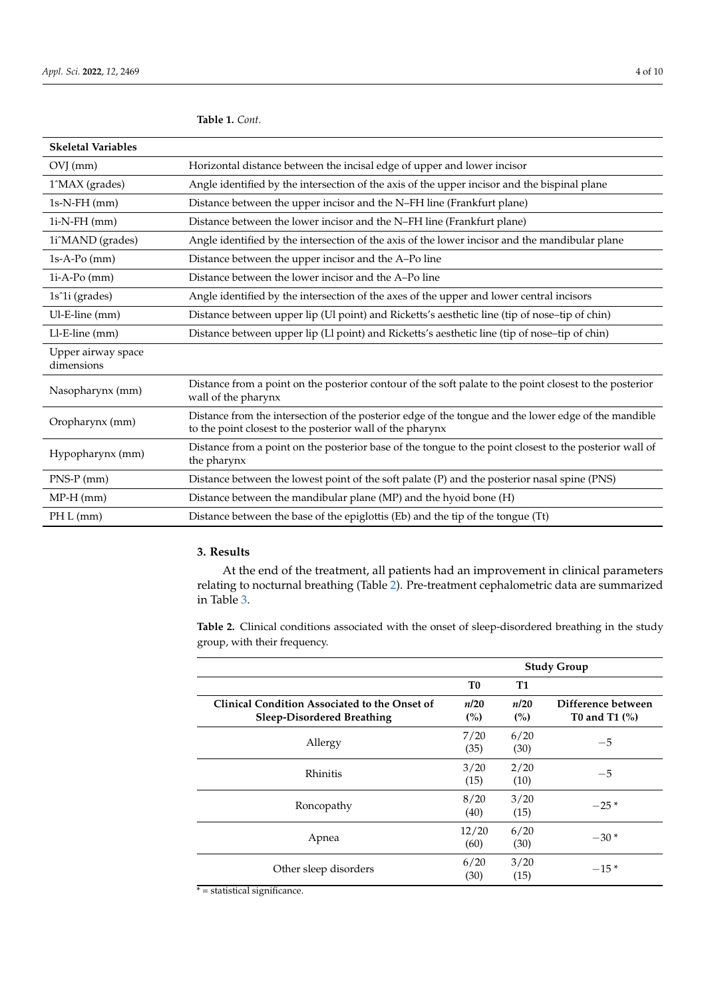| <b>Skeletal Variables</b>        |                                                                                                                                                                    |
|----------------------------------|--------------------------------------------------------------------------------------------------------------------------------------------------------------------|
| $OVI$ (mm)                       | Horizontal distance between the incisal edge of upper and lower incisor                                                                                            |
| 1^MAX (grades)                   | Angle identified by the intersection of the axis of the upper incisor and the bispinal plane                                                                       |
| $1s-N-FH$ (mm)                   | Distance between the upper incisor and the N-FH line (Frankfurt plane)                                                                                             |
| $1i-N$ - $FH$ (mm)               | Distance between the lower incisor and the N-FH line (Frankfurt plane)                                                                                             |
| 1i^MAND (grades)                 | Angle identified by the intersection of the axis of the lower incisor and the mandibular plane                                                                     |
| $1s-A-Po$ (mm)                   | Distance between the upper incisor and the A-Po line                                                                                                               |
| $1i-A-Po$ (mm)                   | Distance between the lower incisor and the A–Po line                                                                                                               |
| 1s <sup>2</sup> 1i (grades)      | Angle identified by the intersection of the axes of the upper and lower central incisors                                                                           |
| Ul-E-line (mm)                   | Distance between upper lip (Ul point) and Ricketts's aesthetic line (tip of nose-tip of chin)                                                                      |
| Ll-E-line (mm)                   | Distance between upper lip (Ll point) and Ricketts's aesthetic line (tip of nose-tip of chin)                                                                      |
| Upper airway space<br>dimensions |                                                                                                                                                                    |
| Nasopharynx (mm)                 | Distance from a point on the posterior contour of the soft palate to the point closest to the posterior<br>wall of the pharynx                                     |
| Oropharynx (mm)                  | Distance from the intersection of the posterior edge of the tongue and the lower edge of the mandible<br>to the point closest to the posterior wall of the pharynx |
| Hypopharynx (mm)                 | Distance from a point on the posterior base of the tongue to the point closest to the posterior wall of<br>the pharynx                                             |
| $PNS-P$ (mm)                     | Distance between the lowest point of the soft palate (P) and the posterior nasal spine (PNS)                                                                       |
| $MP-H$ (mm)                      | Distance between the mandibular plane (MP) and the hyoid bone (H)                                                                                                  |
| PH L (mm)                        | Distance between the base of the epiglottis (Eb) and the tip of the tongue (Tt)                                                                                    |

## <span id="page-3-0"></span>**Table 1.** *Cont.*

## **3. Results**

At the end of the treatment, all patients had an improvement in clinical parameters relating to nocturnal breathing (Table [2\)](#page-3-1). Pre-treatment cephalometric data are summarized in Table [3.](#page-4-0)

<span id="page-3-1"></span>**Table 2.** Clinical conditions associated with the onset of sleep-disordered breathing in the study group, with their frequency.

|                                                                                    | <b>Study Group</b> |              |                                        |
|------------------------------------------------------------------------------------|--------------------|--------------|----------------------------------------|
|                                                                                    | T <sub>0</sub>     | <b>T1</b>    |                                        |
| Clinical Condition Associated to the Onset of<br><b>Sleep-Disordered Breathing</b> | n/20<br>(%)        | n/20<br>(%)  | Difference between<br>T0 and T1 $(\%)$ |
| Allergy                                                                            | 7/20<br>(35)       | 6/20<br>(30) | $-5$                                   |
| Rhinitis                                                                           | 3/20<br>(15)       | 2/20<br>(10) | $-5$                                   |
| Roncopathy                                                                         | 8/20<br>(40)       | 3/20<br>(15) | $-25*$                                 |
| Apnea                                                                              | 12/20<br>(60)      | 6/20<br>(30) | $-30*$                                 |
| Other sleep disorders                                                              | 6/20<br>(30)       | 3/20<br>(15) | $-15*$                                 |

 $* =$  statistical significance.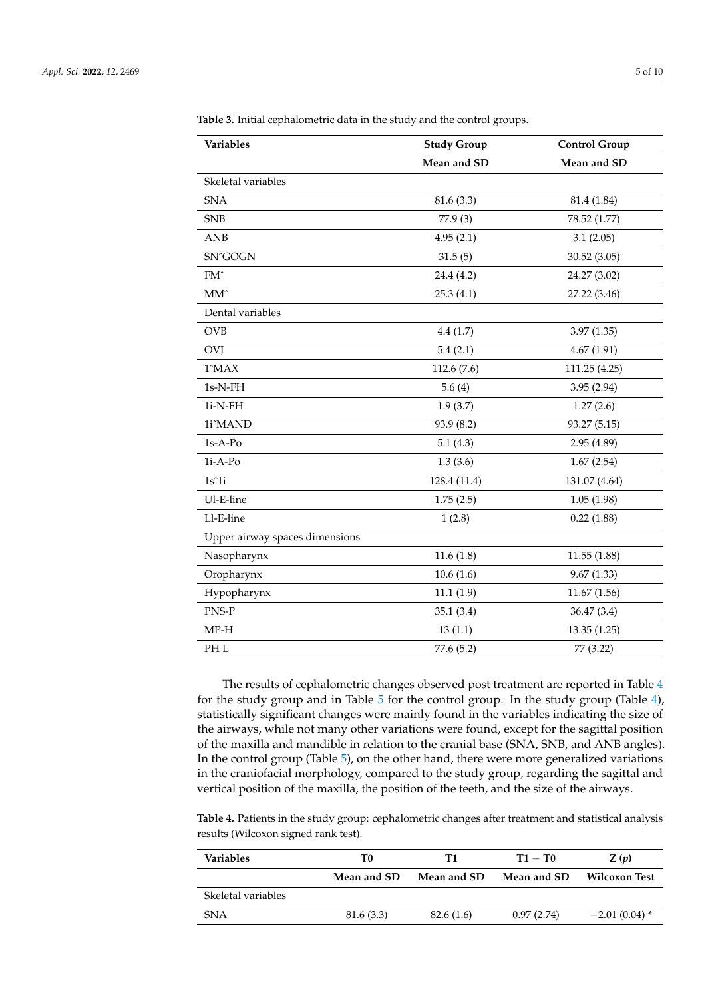| Variables                      | <b>Study Group</b> | <b>Control Group</b> |
|--------------------------------|--------------------|----------------------|
|                                | Mean and SD        | Mean and SD          |
| Skeletal variables             |                    |                      |
| <b>SNA</b>                     | 81.6(3.3)          | 81.4 (1.84)          |
| <b>SNB</b>                     | 77.9 (3)           | 78.52 (1.77)         |
| ANDB                           | 4.95(2.1)          | 3.1(2.05)            |
| SN^GOGN                        | 31.5(5)            | 30.52 (3.05)         |
| FM <sup>^</sup>                | 24.4 (4.2)         | 24.27 (3.02)         |
| $MM^$                          | 25.3(4.1)          | 27.22 (3.46)         |
| Dental variables               |                    |                      |
| <b>OVB</b>                     | 4.4(1.7)           | 3.97(1.35)           |
| OVJ                            | 5.4(2.1)           | 4.67(1.91)           |
| $1^{\circ}$ MAX                | 112.6 (7.6)        | 111.25 (4.25)        |
| $1s-N-FH$                      | 5.6(4)             | 3.95(2.94)           |
| $1i-N-FH$                      | 1.9(3.7)           | 1.27(2.6)            |
| 1i^MAND                        | 93.9 (8.2)         | 93.27 (5.15)         |
| $1s-A-Po$                      | 5.1(4.3)           | 2.95(4.89)           |
| $1i-A-Po$                      | 1.3(3.6)           | 1.67(2.54)           |
| $1s^1i$                        | 128.4 (11.4)       | 131.07 (4.64)        |
| Ul-E-line                      | 1.75(2.5)          | 1.05(1.98)           |
| Ll-E-line                      | 1(2.8)             | 0.22(1.88)           |
| Upper airway spaces dimensions |                    |                      |
| Nasopharynx                    | 11.6(1.8)          | 11.55(1.88)          |
| Oropharynx                     | 10.6(1.6)          | 9.67(1.33)           |
| Hypopharynx                    | 11.1(1.9)          | 11.67(1.56)          |
| PNS-P                          | 35.1(3.4)          | 36.47 (3.4)          |
| $MP-H$                         | 13(1.1)            | 13.35(1.25)          |
| PH <sub>L</sub>                | 77.6 (5.2)         | 77 (3.22)            |

<span id="page-4-0"></span>**Table 3.** Initial cephalometric data in the study and the control groups.

The results of cephalometric changes observed post treatment are reported in Table [4](#page-5-0) for the study group and in Table [5](#page-6-0) for the control group. In the study group (Table [4\)](#page-5-0), statistically significant changes were mainly found in the variables indicating the size of the airways, while not many other variations were found, except for the sagittal position of the maxilla and mandible in relation to the cranial base (SNA, SNB, and ANB angles). In the control group (Table [5\)](#page-6-0), on the other hand, there were more generalized variations in the craniofacial morphology, compared to the study group, regarding the sagittal and vertical position of the maxilla, the position of the teeth, and the size of the airways.

**Table 4.** Patients in the study group: cephalometric changes after treatment and statistical analysis results (Wilcoxon signed rank test).

| <b>Variables</b>   | T0          | Т1          | $T1 - T0$   | Z(p)                 |
|--------------------|-------------|-------------|-------------|----------------------|
|                    | Mean and SD | Mean and SD | Mean and SD | <b>Wilcoxon Test</b> |
| Skeletal variables |             |             |             |                      |
| SNA                | 81.6(3.3)   | 82.6(1.6)   | 0.97(2.74)  | $-2.01(0.04)$ *      |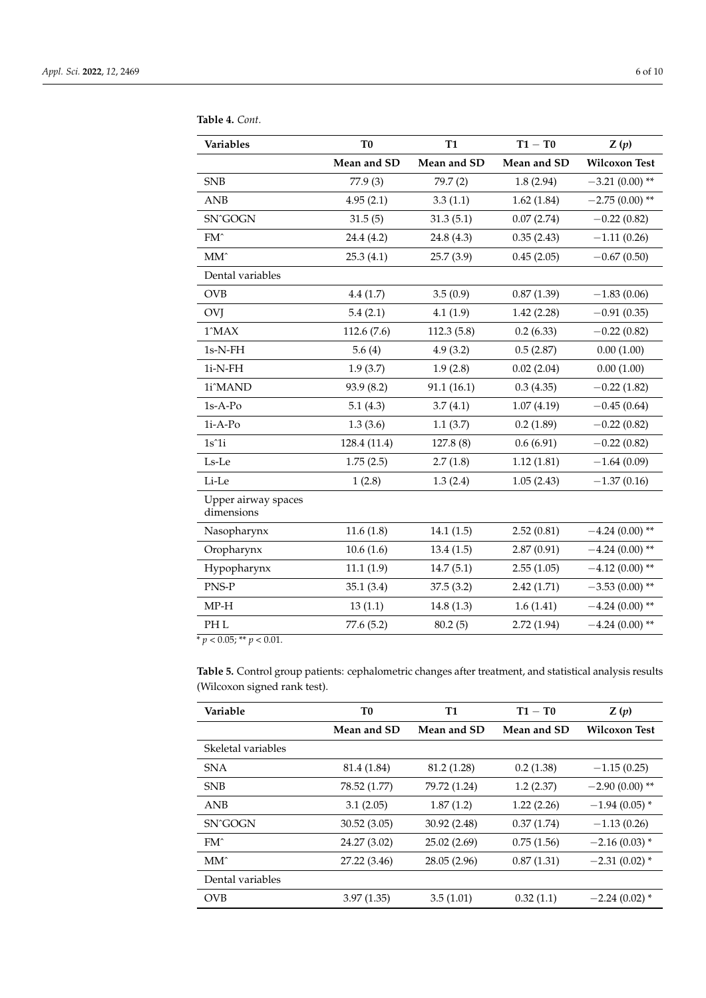| Variables                         | T <sub>0</sub> | <b>T1</b>   | $T1 - T0$   | Z(p)                 |
|-----------------------------------|----------------|-------------|-------------|----------------------|
|                                   | Mean and SD    | Mean and SD | Mean and SD | <b>Wilcoxon Test</b> |
| <b>SNB</b>                        | 77.9 (3)       | 79.7(2)     | 1.8(2.94)   | $-3.21(0.00)$ **     |
| <b>ANB</b>                        | 4.95(2.1)      | 3.3(1.1)    | 1.62(1.84)  | $-2.75(0.00)$ **     |
| SN^GOGN                           | 31.5(5)        | 31.3(5.1)   | 0.07(2.74)  | $-0.22(0.82)$        |
| $FM^{\wedge}$                     | 24.4 (4.2)     | 24.8 (4.3)  | 0.35(2.43)  | $-1.11(0.26)$        |
| $MM^$                             | 25.3(4.1)      | 25.7(3.9)   | 0.45(2.05)  | $-0.67(0.50)$        |
| Dental variables                  |                |             |             |                      |
| <b>OVB</b>                        | 4.4(1.7)       | 3.5(0.9)    | 0.87(1.39)  | $-1.83(0.06)$        |
| OVJ                               | 5.4(2.1)       | 4.1(1.9)    | 1.42(2.28)  | $-0.91(0.35)$        |
| 1^MAX                             | 112.6 (7.6)    | 112.3(5.8)  | 0.2(6.33)   | $-0.22(0.82)$        |
| $1s-N-FH$                         | 5.6(4)         | 4.9(3.2)    | 0.5(2.87)   | 0.00(1.00)           |
| $1i-N-FH$                         | 1.9(3.7)       | 1.9(2.8)    | 0.02(2.04)  | 0.00(1.00)           |
| 1i^MAND                           | 93.9 (8.2)     | 91.1(16.1)  | 0.3(4.35)   | $-0.22(1.82)$        |
| $1s-A-Po$                         | 5.1(4.3)       | 3.7(4.1)    | 1.07(4.19)  | $-0.45(0.64)$        |
| 1i-A-Po                           | 1.3(3.6)       | 1.1(3.7)    | 0.2(1.89)   | $-0.22(0.82)$        |
| $1s^1i$                           | 128.4 (11.4)   | 127.8 (8)   | 0.6(6.91)   | $-0.22(0.82)$        |
| Ls-Le                             | 1.75(2.5)      | 2.7(1.8)    | 1.12(1.81)  | $-1.64(0.09)$        |
| Li-Le                             | 1(2.8)         | 1.3(2.4)    | 1.05(2.43)  | $-1.37(0.16)$        |
| Upper airway spaces<br>dimensions |                |             |             |                      |
| Nasopharynx                       | 11.6(1.8)      | 14.1(1.5)   | 2.52(0.81)  | $-4.24(0.00)$ **     |
| Oropharynx                        | 10.6(1.6)      | 13.4(1.5)   | 2.87(0.91)  | $-4.24(0.00)$ **     |
| Hypopharynx                       | 11.1(1.9)      | 14.7(5.1)   | 2.55(1.05)  | $-4.12(0.00)$ **     |
| PNS-P                             | 35.1(3.4)      | 37.5(3.2)   | 2.42(1.71)  | $-3.53(0.00)$ **     |
| $MP-H$                            | 13(1.1)        | 14.8(1.3)   | 1.6(1.41)   | $-4.24(0.00)$ **     |
| PH <sub>L</sub>                   | 77.6 (5.2)     | 80.2(5)     | 2.72 (1.94) | $-4.24(0.00)$ **     |

<span id="page-5-0"></span>**Table 4.** *Cont.*

 $\sqrt{\frac{p}{p}} < 0.05;$  \*\*  $p < 0.01$ .

**Table 5.** Control group patients: cephalometric changes after treatment, and statistical analysis results (Wilcoxon signed rank test).

| Variable           | T0           | <b>T1</b>    | $T1 - T0$   | Z(p)                 |
|--------------------|--------------|--------------|-------------|----------------------|
|                    | Mean and SD  | Mean and SD  | Mean and SD | <b>Wilcoxon Test</b> |
| Skeletal variables |              |              |             |                      |
| <b>SNA</b>         | 81.4 (1.84)  | 81.2 (1.28)  | 0.2(1.38)   | $-1.15(0.25)$        |
| <b>SNB</b>         | 78.52 (1.77) | 79.72 (1.24) | 1.2(2.37)   | $-2.90(0.00)$ **     |
| <b>ANB</b>         | 3.1(2.05)    | 1.87(1.2)    | 1.22(2.26)  | $-1.94(0.05)$ *      |
| SN^GOGN            | 30.52(3.05)  | 30.92 (2.48) | 0.37(1.74)  | $-1.13(0.26)$        |
| $FM^{\wedge}$      | 24.27 (3.02) | 25.02(2.69)  | 0.75(1.56)  | $-2.16(0.03)$ *      |
| MM <sup>^</sup>    | 27.22 (3.46) | 28.05 (2.96) | 0.87(1.31)  | $-2.31(0.02)$ *      |
| Dental variables   |              |              |             |                      |
| <b>OVB</b>         | 3.97(1.35)   | 3.5(1.01)    | 0.32(1.1)   | $-2.24(0.02)$ *      |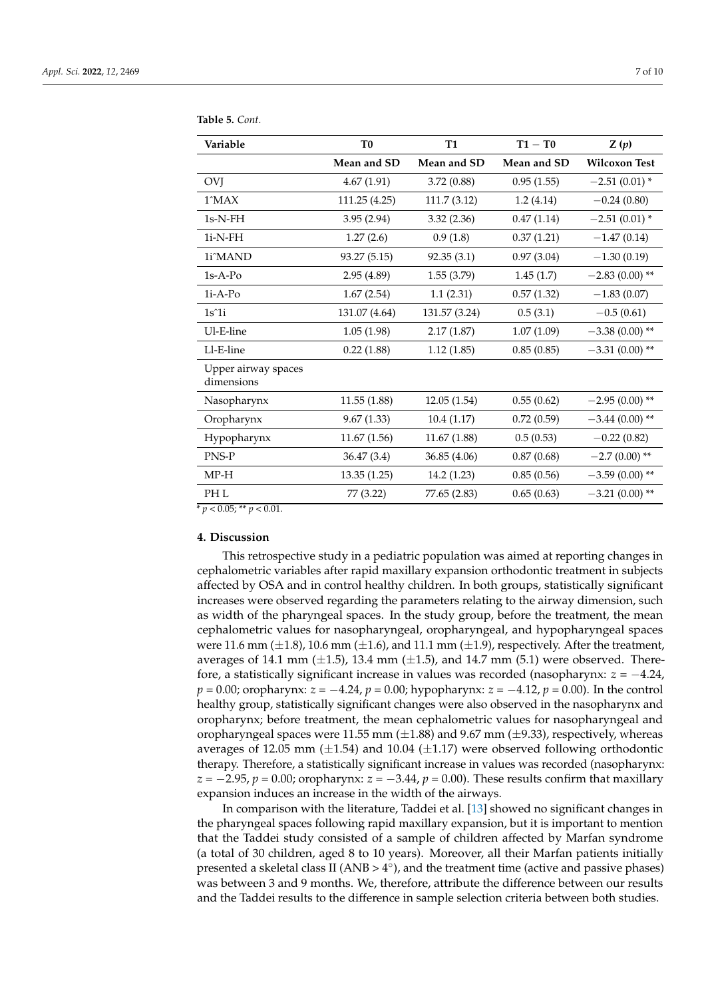| Variable                          | T <sub>0</sub> | <b>T1</b>     | $T1 - T0$   | Z(p)                 |
|-----------------------------------|----------------|---------------|-------------|----------------------|
|                                   | Mean and SD    | Mean and SD   | Mean and SD | <b>Wilcoxon Test</b> |
| <b>OVJ</b>                        | 4.67(1.91)     | 3.72(0.88)    | 0.95(1.55)  | $-2.51(0.01)$ *      |
| $1^{\circ}$ MAX                   | 111.25 (4.25)  | 111.7 (3.12)  | 1.2(4.14)   | $-0.24(0.80)$        |
| $1s-N-FH$                         | 3.95(2.94)     | 3.32(2.36)    | 0.47(1.14)  | $-2.51(0.01)$ *      |
| $1i-N-FH$                         | 1.27(2.6)      | 0.9(1.8)      | 0.37(1.21)  | $-1.47(0.14)$        |
| 1i^MAND                           | 93.27 (5.15)   | 92.35(3.1)    | 0.97(3.04)  | $-1.30(0.19)$        |
| $1s-A-PQ$                         | 2.95(4.89)     | 1.55(3.79)    | 1.45(1.7)   | $-2.83(0.00)$ **     |
| $1i-A-Po$                         | 1.67(2.54)     | 1.1(2.31)     | 0.57(1.32)  | $-1.83(0.07)$        |
| $1s^1$                            | 131.07 (4.64)  | 131.57 (3.24) | 0.5(3.1)    | $-0.5(0.61)$         |
| Ul-E-line                         | 1.05(1.98)     | 2.17(1.87)    | 1.07(1.09)  | $-3.38(0.00)$ **     |
| Ll-E-line                         | 0.22(1.88)     | 1.12(1.85)    | 0.85(0.85)  | $-3.31(0.00)$ **     |
| Upper airway spaces<br>dimensions |                |               |             |                      |
| Nasopharynx                       | 11.55 (1.88)   | 12.05(1.54)   | 0.55(0.62)  | $-2.95(0.00)$ **     |
| Oropharynx                        | 9.67(1.33)     | 10.4(1.17)    | 0.72(0.59)  | $-3.44(0.00)$ **     |
| Hypopharynx                       | 11.67(1.56)    | 11.67(1.88)   | 0.5(0.53)   | $-0.22(0.82)$        |
| PNS-P                             | 36.47 (3.4)    | 36.85 (4.06)  | 0.87(0.68)  | $-2.7(0.00)$ **      |
| $MP-H$                            | 13.35 (1.25)   | 14.2 (1.23)   | 0.85(0.56)  | $-3.59(0.00)$ **     |
| PH <sub>L</sub>                   | 77 (3.22)      | 77.65 (2.83)  | 0.65(0.63)  | $-3.21(0.00)$ **     |

<span id="page-6-0"></span>**Table 5.** *Cont.*

 $p < 0.05$ ; \*\*  $p < 0.01$ .

## **4. Discussion**

This retrospective study in a pediatric population was aimed at reporting changes in cephalometric variables after rapid maxillary expansion orthodontic treatment in subjects affected by OSA and in control healthy children. In both groups, statistically significant increases were observed regarding the parameters relating to the airway dimension, such as width of the pharyngeal spaces. In the study group, before the treatment, the mean cephalometric values for nasopharyngeal, oropharyngeal, and hypopharyngeal spaces were 11.6 mm ( $\pm$ 1.8), 10.6 mm ( $\pm$ 1.6), and 11.1 mm ( $\pm$ 1.9), respectively. After the treatment, averages of 14.1 mm  $(\pm 1.5)$ , 13.4 mm  $(\pm 1.5)$ , and 14.7 mm (5.1) were observed. Therefore, a statistically significant increase in values was recorded (nasopharynx: *z* = −4.24, *p* = 0.00; oropharynx: *z* = −4.24, *p* = 0.00; hypopharynx: *z* = −4.12, *p* = 0.00). In the control healthy group, statistically significant changes were also observed in the nasopharynx and oropharynx; before treatment, the mean cephalometric values for nasopharyngeal and oropharyngeal spaces were 11.55 mm  $(\pm 1.88)$  and 9.67 mm  $(\pm 9.33)$ , respectively, whereas averages of 12.05 mm  $(\pm 1.54)$  and 10.04  $(\pm 1.17)$  were observed following orthodontic therapy. Therefore, a statistically significant increase in values was recorded (nasopharynx: *z* = −2.95, *p* = 0.00; oropharynx: *z* = −3.44, *p* = 0.00). These results confirm that maxillary expansion induces an increase in the width of the airways.

In comparison with the literature, Taddei et al. [\[13\]](#page-9-5) showed no significant changes in the pharyngeal spaces following rapid maxillary expansion, but it is important to mention that the Taddei study consisted of a sample of children affected by Marfan syndrome (a total of 30 children, aged 8 to 10 years). Moreover, all their Marfan patients initially presented a skeletal class II (ANB >  $4^{\circ}$ ), and the treatment time (active and passive phases) was between 3 and 9 months. We, therefore, attribute the difference between our results and the Taddei results to the difference in sample selection criteria between both studies.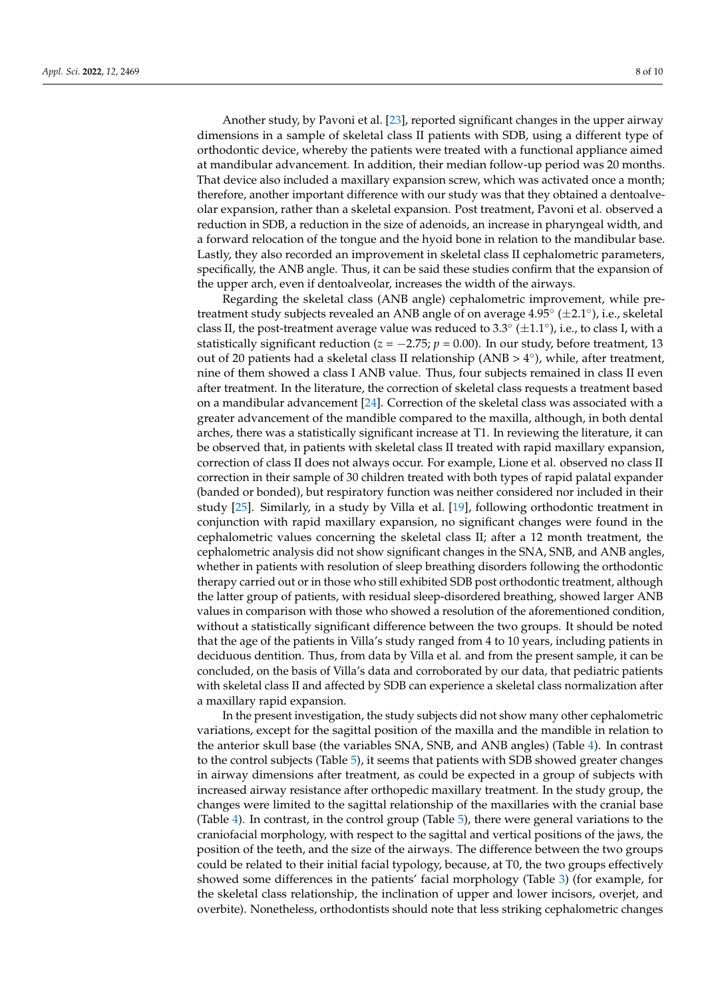Another study, by Pavoni et al. [\[23\]](#page-9-13), reported significant changes in the upper airway dimensions in a sample of skeletal class II patients with SDB, using a different type of orthodontic device, whereby the patients were treated with a functional appliance aimed at mandibular advancement. In addition, their median follow-up period was 20 months. That device also included a maxillary expansion screw, which was activated once a month; therefore, another important difference with our study was that they obtained a dentoalveolar expansion, rather than a skeletal expansion. Post treatment, Pavoni et al. observed a reduction in SDB, a reduction in the size of adenoids, an increase in pharyngeal width, and a forward relocation of the tongue and the hyoid bone in relation to the mandibular base. Lastly, they also recorded an improvement in skeletal class II cephalometric parameters, specifically, the ANB angle. Thus, it can be said these studies confirm that the expansion of the upper arch, even if dentoalveolar, increases the width of the airways.

Regarding the skeletal class (ANB angle) cephalometric improvement, while pretreatment study subjects revealed an ANB angle of on average 4.95° (±2.1°), i.e., skeletal class II, the post-treatment average value was reduced to 3.3 $^{\circ}$  ( $\pm$ 1.1 $^{\circ}$ ), i.e., to class I, with a statistically significant reduction ( $z = -2.75$ ;  $p = 0.00$ ). In our study, before treatment, 13 out of 20 patients had a skeletal class II relationship (ANB > 4°), while, after treatment, nine of them showed a class I ANB value. Thus, four subjects remained in class II even after treatment. In the literature, the correction of skeletal class requests a treatment based on a mandibular advancement [\[24\]](#page-9-14). Correction of the skeletal class was associated with a greater advancement of the mandible compared to the maxilla, although, in both dental arches, there was a statistically significant increase at T1. In reviewing the literature, it can be observed that, in patients with skeletal class II treated with rapid maxillary expansion, correction of class II does not always occur. For example, Lione et al. observed no class II correction in their sample of 30 children treated with both types of rapid palatal expander (banded or bonded), but respiratory function was neither considered nor included in their study [\[25\]](#page-9-15). Similarly, in a study by Villa et al. [\[19\]](#page-9-9), following orthodontic treatment in conjunction with rapid maxillary expansion, no significant changes were found in the cephalometric values concerning the skeletal class II; after a 12 month treatment, the cephalometric analysis did not show significant changes in the SNA, SNB, and ANB angles, whether in patients with resolution of sleep breathing disorders following the orthodontic therapy carried out or in those who still exhibited SDB post orthodontic treatment, although the latter group of patients, with residual sleep-disordered breathing, showed larger ANB values in comparison with those who showed a resolution of the aforementioned condition, without a statistically significant difference between the two groups. It should be noted that the age of the patients in Villa's study ranged from 4 to 10 years, including patients in deciduous dentition. Thus, from data by Villa et al. and from the present sample, it can be concluded, on the basis of Villa's data and corroborated by our data, that pediatric patients with skeletal class II and affected by SDB can experience a skeletal class normalization after a maxillary rapid expansion.

In the present investigation, the study subjects did not show many other cephalometric variations, except for the sagittal position of the maxilla and the mandible in relation to the anterior skull base (the variables SNA, SNB, and ANB angles) (Table [4\)](#page-5-0). In contrast to the control subjects (Table [5\)](#page-6-0), it seems that patients with SDB showed greater changes in airway dimensions after treatment, as could be expected in a group of subjects with increased airway resistance after orthopedic maxillary treatment. In the study group, the changes were limited to the sagittal relationship of the maxillaries with the cranial base (Table [4\)](#page-5-0). In contrast, in the control group (Table [5\)](#page-6-0), there were general variations to the craniofacial morphology, with respect to the sagittal and vertical positions of the jaws, the position of the teeth, and the size of the airways. The difference between the two groups could be related to their initial facial typology, because, at T0, the two groups effectively showed some differences in the patients' facial morphology (Table [3\)](#page-4-0) (for example, for the skeletal class relationship, the inclination of upper and lower incisors, overjet, and overbite). Nonetheless, orthodontists should note that less striking cephalometric changes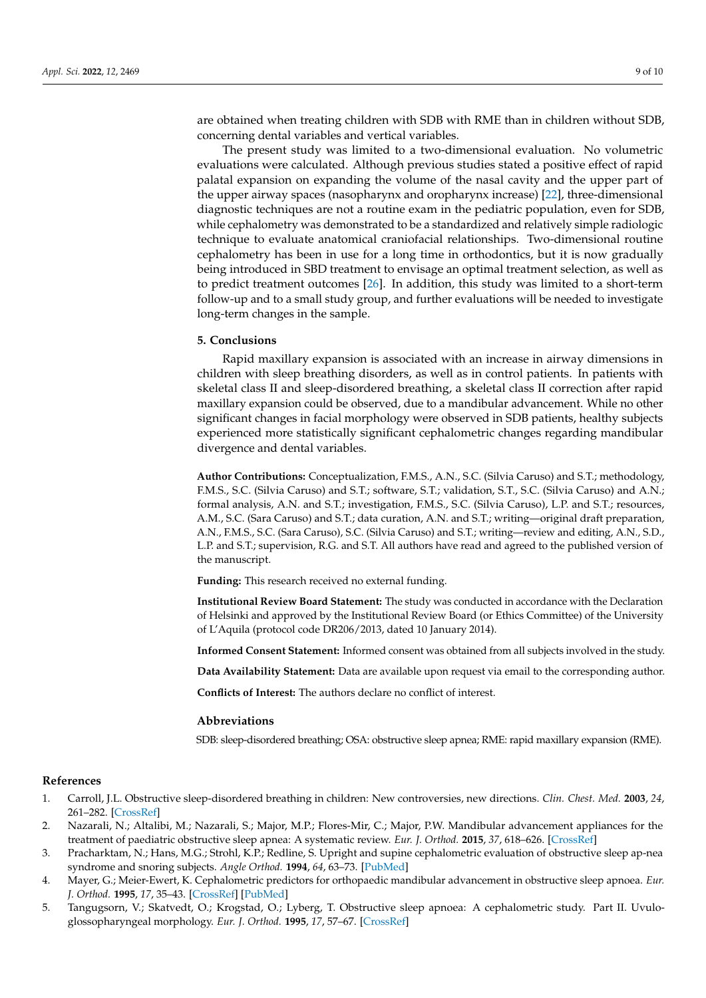are obtained when treating children with SDB with RME than in children without SDB, concerning dental variables and vertical variables.

The present study was limited to a two-dimensional evaluation. No volumetric evaluations were calculated. Although previous studies stated a positive effect of rapid palatal expansion on expanding the volume of the nasal cavity and the upper part of the upper airway spaces (nasopharynx and oropharynx increase) [\[22\]](#page-9-12), three-dimensional diagnostic techniques are not a routine exam in the pediatric population, even for SDB, while cephalometry was demonstrated to be a standardized and relatively simple radiologic technique to evaluate anatomical craniofacial relationships. Two-dimensional routine cephalometry has been in use for a long time in orthodontics, but it is now gradually being introduced in SBD treatment to envisage an optimal treatment selection, as well as to predict treatment outcomes [\[26\]](#page-9-16). In addition, this study was limited to a short-term follow-up and to a small study group, and further evaluations will be needed to investigate long-term changes in the sample.

### **5. Conclusions**

Rapid maxillary expansion is associated with an increase in airway dimensions in children with sleep breathing disorders, as well as in control patients. In patients with skeletal class II and sleep-disordered breathing, a skeletal class II correction after rapid maxillary expansion could be observed, due to a mandibular advancement. While no other significant changes in facial morphology were observed in SDB patients, healthy subjects experienced more statistically significant cephalometric changes regarding mandibular divergence and dental variables.

**Author Contributions:** Conceptualization, F.M.S., A.N., S.C. (Silvia Caruso) and S.T.; methodology, F.M.S., S.C. (Silvia Caruso) and S.T.; software, S.T.; validation, S.T., S.C. (Silvia Caruso) and A.N.; formal analysis, A.N. and S.T.; investigation, F.M.S., S.C. (Silvia Caruso), L.P. and S.T.; resources, A.M., S.C. (Sara Caruso) and S.T.; data curation, A.N. and S.T.; writing—original draft preparation, A.N., F.M.S., S.C. (Sara Caruso), S.C. (Silvia Caruso) and S.T.; writing—review and editing, A.N., S.D., L.P. and S.T.; supervision, R.G. and S.T. All authors have read and agreed to the published version of the manuscript.

**Funding:** This research received no external funding.

**Institutional Review Board Statement:** The study was conducted in accordance with the Declaration of Helsinki and approved by the Institutional Review Board (or Ethics Committee) of the University of L'Aquila (protocol code DR206/2013, dated 10 January 2014).

**Informed Consent Statement:** Informed consent was obtained from all subjects involved in the study.

**Data Availability Statement:** Data are available upon request via email to the corresponding author.

**Conflicts of Interest:** The authors declare no conflict of interest.

#### **Abbreviations**

SDB: sleep-disordered breathing; OSA: obstructive sleep apnea; RME: rapid maxillary expansion (RME).

### **References**

- <span id="page-8-0"></span>1. Carroll, J.L. Obstructive sleep-disordered breathing in children: New controversies, new directions. *Clin. Chest. Med.* **2003**, *24*, 261–282. [\[CrossRef\]](http://doi.org/10.1016/S0272-5231(03)00024-8)
- <span id="page-8-1"></span>2. Nazarali, N.; Altalibi, M.; Nazarali, S.; Major, M.P.; Flores-Mir, C.; Major, P.W. Mandibular advancement appliances for the treatment of paediatric obstructive sleep apnea: A systematic review. *Eur. J. Orthod.* **2015**, *37*, 618–626. [\[CrossRef\]](http://doi.org/10.1093/ejo/cju101)
- <span id="page-8-2"></span>3. Pracharktam, N.; Hans, M.G.; Strohl, K.P.; Redline, S. Upright and supine cephalometric evaluation of obstructive sleep ap-nea syndrome and snoring subjects. *Angle Orthod.* **1994**, *64*, 63–73. [\[PubMed\]](http://www.ncbi.nlm.nih.gov/pubmed/8172396)
- 4. Mayer, G.; Meier-Ewert, K. Cephalometric predictors for orthopaedic mandibular advancement in obstructive sleep apnoea. *Eur. J. Orthod.* **1995**, *17*, 35–43. [\[CrossRef\]](http://doi.org/10.1093/ejo/17.1.35) [\[PubMed\]](http://www.ncbi.nlm.nih.gov/pubmed/7737344)
- 5. Tangugsorn, V.; Skatvedt, O.; Krogstad, O.; Lyberg, T. Obstructive sleep apnoea: A cephalometric study. Part II. Uvuloglossopharyngeal morphology. *Eur. J. Orthod.* **1995**, *17*, 57–67. [\[CrossRef\]](http://doi.org/10.1093/ejo/17.1.57)